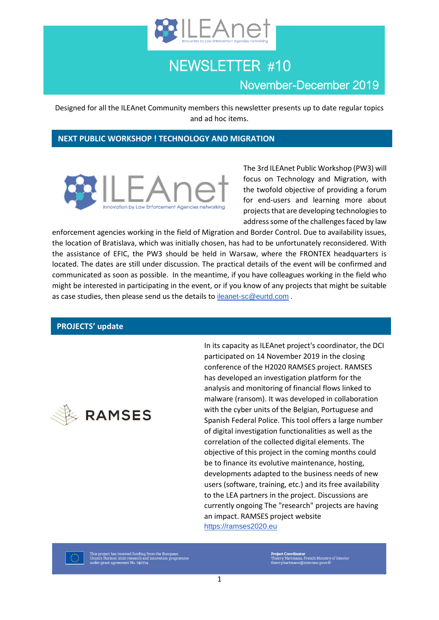

# NEWSLETTER #10 November-December 2019

Designed for all the ILEAnet Community members this newsletter presents up to date regular topics and ad hoc items.

## **NEXT PUBLIC WORKSHOP ! TECHNOLOGY AND MIGRATION**



The 3rd ILEAnet Public Workshop (PW3) will focus on Technology and Migration, with the twofold objective of providing a forum for end-users and learning more about projects that are developing technologies to address some of the challenges faced by law

enforcement agencies working in the field of Migration and Border Control. Due to availability issues, the location of Bratislava, which was initially chosen, has had to be unfortunately reconsidered. With the assistance of EFIC, the PW3 should be held in Warsaw, where the FRONTEX headquarters is located. The dates are still under discussion. The practical details of the event will be confirmed and communicated as soon as possible. In the meantime, if you have colleagues working in the field who might be interested in participating in the event, or if you know of any projects that might be suitable as case studies, then please send us the details to [ileanet-sc@eurtd.com](mailto:ileanet-sc@eurtd.com) .

## **PROJECTS' update**



In its capacity as ILEAnet project's coordinator, the DCI participated on 14 November 2019 in the closing conference of the H2020 RAMSES project. RAMSES has developed an investigation platform for the analysis and monitoring of financial flows linked to malware (ransom). It was developed in collaboration with the cyber units of the Belgian, Portuguese and Spanish Federal Police. This tool offers a large number of digital investigation functionalities as well as the correlation of the collected digital elements. The objective of this project in the coming months could be to finance its evolutive maintenance, hosting, developments adapted to the business needs of new users (software, training, etc.) and its free availability to the LEA partners in the project. Discussions are currently ongoing The "research" projects are having an impact. RAMSES project website [https://ramses2020.eu](https://ramses2020.eu/)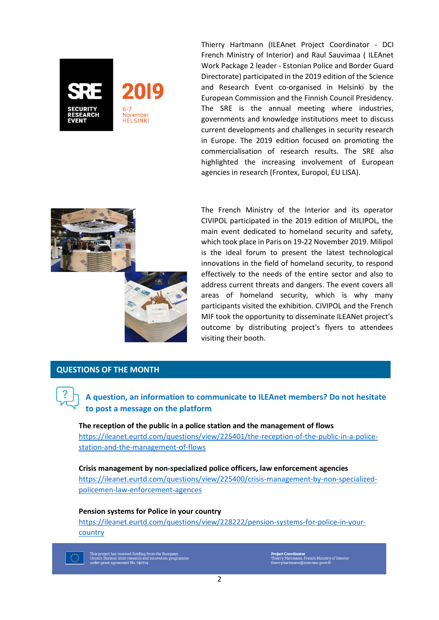

Thierry Hartmann (ILEAnet Project Coordinator - DCI French Ministry of Interior) and Raul Sauvimaa ( ILEAnet Work Package 2 leader - Estonian Police and Border Guard Directorate) participated in the 2019 edition of the Science and Research Event co-organised in Helsinki by the European Commission and the Finnish Council Presidency. The SRE is the annual meeting where industries, governments and knowledge institutions meet to discuss current developments and challenges in security research in Europe. The 2019 edition focused on promoting the commercialisation of research results. The SRE also highlighted the increasing involvement of European agencies in research (Frontex, Europol, EU LISA).



The French Ministry of the Interior and its operator CIVIPOL participated in the 2019 edition of MILIPOL, the main event dedicated to homeland security and safety, which took place in Paris on 19-22 November 2019. Milipol is the ideal forum to present the latest technological innovations in the field of homeland security, to respond effectively to the needs of the entire sector and also to address current threats and dangers. The event covers all areas of homeland security, which is why many participants visited the exhibition. CIVIPOL and the French MIF took the opportunity to disseminate ILEANet project's outcome by distributing project's flyers to attendees visiting their booth.

### **QUESTIONS OF THE MONTH**



**A question, an information to communicate to ILEAnet members? Do not hesitate to post a message on the platform**

**The reception of the public in a police station and the management of flows** [https://ileanet.eurtd.com/questions/view/225401/the-reception-of-the-public-in-a-police](https://ileanet.eurtd.com/questions/view/225401/the-reception-of-the-public-in-a-police-station-and-the-management-of-flows)[station-and-the-management-of-flows](https://ileanet.eurtd.com/questions/view/225401/the-reception-of-the-public-in-a-police-station-and-the-management-of-flows)

**Crisis management by non-specialized police officers, law enforcement agencies** [https://ileanet.eurtd.com/questions/view/225400/crisis-management-by-non-specialized](https://ileanet.eurtd.com/questions/view/225400/crisis-management-by-non-specialized-policemen-law-enforcement-agences)[policemen-law-enforcement-agences](https://ileanet.eurtd.com/questions/view/225400/crisis-management-by-non-specialized-policemen-law-enforcement-agences)

#### **Pension systems for Police in your country**

[https://ileanet.eurtd.com/questions/view/228222/pension-systems-for-police-in-your](https://ileanet.eurtd.com/questions/view/228222/pension-systems-for-police-in-your-country)[country](https://ileanet.eurtd.com/questions/view/228222/pension-systems-for-police-in-your-country)



This project has received funding from the European<br>Union's Horizon 2020 research and innovation programm<br>under grant agreement No. 740714.

i**ject Coordinator**<br>erry Hartmann, French Ministry of Interior<br>erry.hartmann@interieur.gouv.fr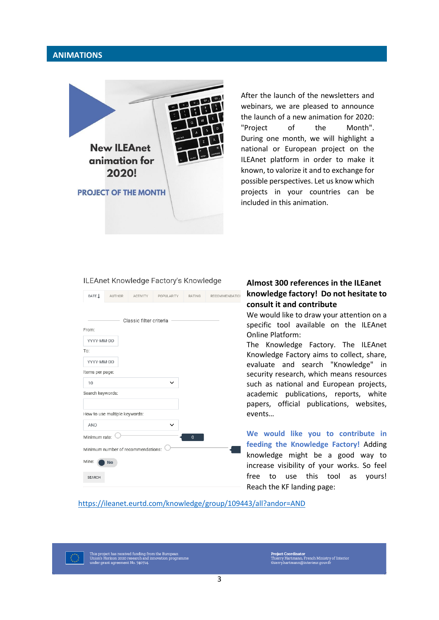## **ANIMATIONS**



After the launch of the newsletters and webinars, we are pleased to announce the launch of a new animation for 2020: "Project of the Month". During one month, we will highlight a national or European project on the ILEAnet platform in order to make it known, to valorize it and to exchange for possible perspectives. Let us know which projects in your countries can be included in this animation.

#### ILEAnet Knowledge Factory's Knowledge



## **Almost 300 references in the ILEanet knowledge factory! Do not hesitate to consult it and contribute**

We would like to draw your attention on a specific tool available on the ILEAnet Online Platform:

The Knowledge Factory. The ILEAnet Knowledge Factory aims to collect, share, evaluate and search "Knowledge" in security research, which means resources such as national and European projects, academic publications, reports, white papers, official publications, websites, events…

**We would like you to contribute in feeding the Knowledge Factory!** Adding knowledge might be a good way to increase visibility of your works. So feel free to use this tool as yours! Reach the KF landing page:

#### <https://ileanet.eurtd.com/knowledge/group/109443/all?andor=AND>

This project has received funding from the European<br>Union's Horizon 2020 research and innovation programme<br>under grant agreement No. 740714.

Project Coordinator<br>Thierry Hartmann, French Ministry of Interior<br>thierry.hartmann@interieur.gouv.fr